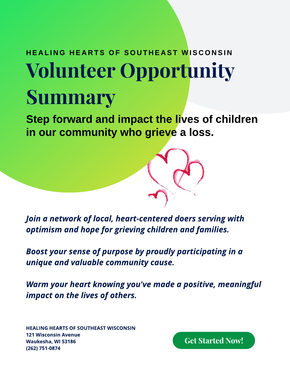## Volunteer Opportunity Summary HEALING HEARTS OF SOUTHEAST WISCONSIN

Step forward and impact the lives of children in our community who grieve a loss.

**Join a network of local, heart-centered doers serving with optimism and hope for grieving children and families.**

**Boost your sense of purpose by proudly participating in a unique and valuable community cause.**

**Warm your heart knowing you've made a positive, meaningful impact on the lives of others.**

**HEALING HEARTS OF SOUTHEAST WISCONSIN** 121 Wisconsin Avenue Waukesha, WI 53186 (262) 751-0874

Get Started Now!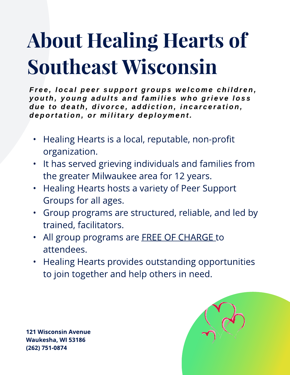# About Healing Hearts of Southeast Wisconsin

Free, local peer support groups welcome children, youth, young adults and families who grieve loss due to death, divorce, addiction, incarceration, deportation, or military deployment.

- Healing Hearts is a local, reputable, non-profit organization.
- It has served grieving individuals and families from the greater Milwaukee area for 12 years.
- Healing Hearts hosts a variety of Peer Support Groups for all ages.
- Group programs are structured, reliable, and led by trained, facilitators.
- All group programs are **FREE OF CHARGE** to attendees.
- Healing Hearts provides outstanding opportunities to join together and help others in need.

121 Wisconsin Avenue Waukesha, WI 53186 (262) 751-0874

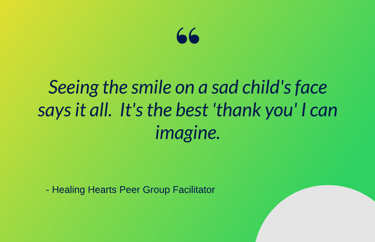

### Seeing the smile on a sad child's face says it all. It's the best 'thank you' I can *imagine.*

- Healing Hearts Peer Group Facilitator

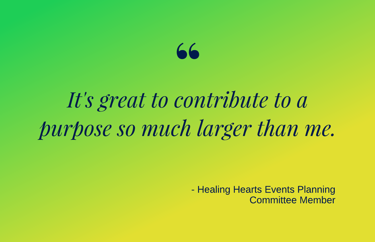### 66

## It's great to contribute to a purpose so much larger than me.

- Healing Hearts Events Planning **Committee Member**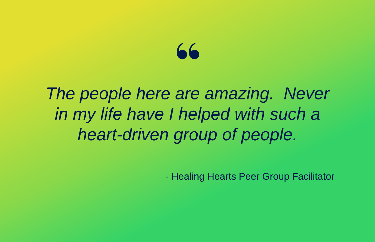# $66$ <br>are:

**The people here are amazing. Never in my life have I helped with such a heart-driven group of people.**

- Healing Hearts Peer Group Facilitator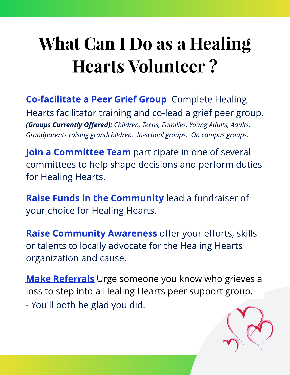# What Can I Do as a Healing Hearts Volunteer ?

**Co-facilitate a Peer Grief Group** Complete Healing Hearts facilitator training and co-lead a grief peer group. **(Groups Currently Offered): Children, Teens, Families, Young Adults, Adults, Grandparents raising grandchildren.** In-school groups. On campus groups.

Join a Committee Team participate in one of several committees to help shape decisions and perform duties for Healing Hearts.

Raise Funds in the Community lead a fundraiser of your choice for Healing Hearts.

Raise Community Awareness offer your efforts, skills or talents to locally advocate for the Healing Hearts organization and cause.

**Make Referrals** Urge someone you know who grieves a loss to step into a Healing Hearts peer support group. - You'll both be glad you did.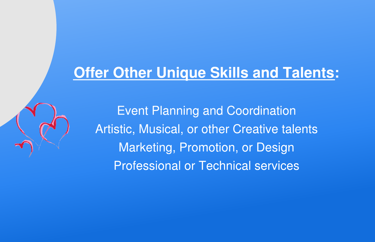#### **Offer Other Unique Skills and Talents:**

Event Planning and Coordination Artistic, Musical, or other Creative talents Marketing, Promotion, or Design Professional or Technical services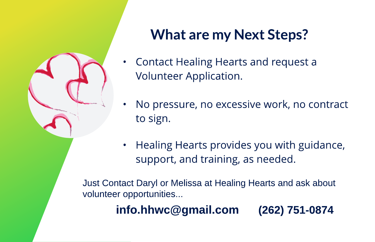

#### What are my Next Steps?

- Contact Healing Hearts and request a Volunteer Application.
- No pressure, no excessive work, no contract to sign.
- Healing Hearts provides you with guidance, support, and training, as needed.

Just Contact Daryl or Melissa at Healing Hearts and ask about volunteer opportunities...

#### info.hhwc@gmail.com (262) 751-0874